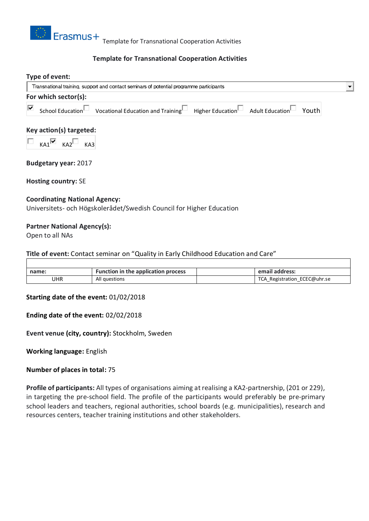

# **Template for Transnational Cooperation Activities**

## **Type of event:** Transnational training, support and contact seminars of potential programme participants  $\blacksquare$ **For which sector(s):** |⊽ School Education Vocational Education and Training Higher Education Adult Education Youth

## **Key action(s) targeted:**

 $KAI^{\triangleright}$   $KAI^{\square}$   $KAI$ 

**Budgetary year:** 2017

**Hosting country:** SE

## **Coordinating National Agency:**

Universitets- och Högskolerådet/Swedish Council for Higher Education

## **Partner National Agency(s):**

Open to all NAs

## **Title of event:** Contact seminar on "Quality in Early Childhood Education and Care"

| name: | <b>Function in the application process</b> |  | email address:           |
|-------|--------------------------------------------|--|--------------------------|
| UHR   | All questions                              |  | Registration ECEC@uhr.se |

#### **Starting date of the event:** 01/02/2018

## **Ending date of the event:** 02/02/2018

**Event venue (city, country):** Stockholm, Sweden

**Working language:** English

## **Number of places in total:** 75

**Profile of participants:** All types of organisations aiming at realising a KA2-partnership, (201 or 229), in targeting the pre-school field. The profile of the participants would preferably be pre-primary school leaders and teachers, regional authorities, school boards (e.g. municipalities), research and resources centers, teacher training institutions and other stakeholders.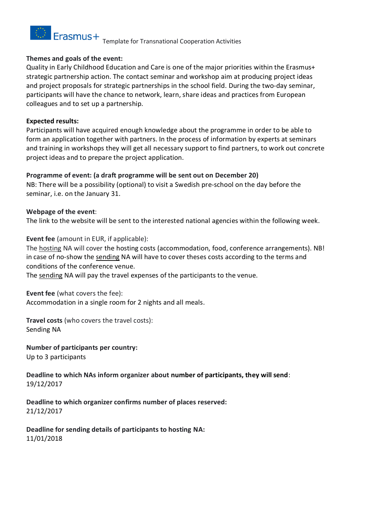

## **Themes and goals of the event:**

Quality in Early Childhood Education and Care is one of the major priorities within the Erasmus+ strategic partnership action. The contact seminar and workshop aim at producing project ideas and project proposals for strategic partnerships in the school field. During the two-day seminar, participants will have the chance to network, learn, share ideas and practices from European colleagues and to set up a partnership.

## **Expected results:**

Participants will have acquired enough knowledge about the programme in order to be able to form an application together with partners. In the process of information by experts at seminars and training in workshops they will get all necessary support to find partners, to work out concrete project ideas and to prepare the project application.

# **Programme of event: (a draft programme will be sent out on December 20)**

NB: There will be a possibility (optional) to visit a Swedish pre-school on the day before the seminar, i.e. on the January 31.

# **Webpage of the event**:

The link to the website will be sent to the interested national agencies within the following week.

**Event fee** (amount in EUR, if applicable):

The hosting NA will cover the hosting costs (accommodation, food, conference arrangements). NB! in case of no-show the sending NA will have to cover theses costs according to the terms and conditions of the conference venue.

The sending NA will pay the travel expenses of the participants to the venue.

**Event fee** (what covers the fee):

Accommodation in a single room for 2 nights and all meals.

**Travel costs** (who covers the travel costs): Sending NA

**Number of participants per country:** Up to 3 participants

**Deadline to which NAs inform organizer about number of participants, they will send**: 19/12/2017

**Deadline to which organizer confirms number of places reserved:** 21/12/2017

**Deadline for sending details of participants to hosting NA:** 11/01/2018